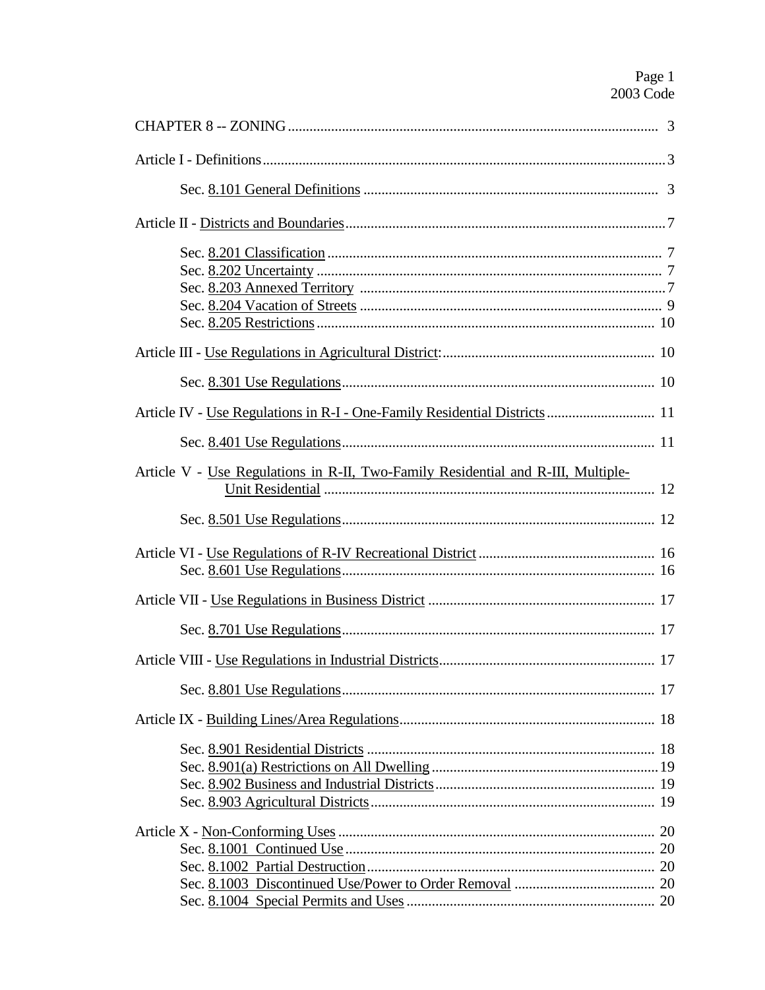| Article V - Use Regulations in R-II, Two-Family Residential and R-III, Multiple- |  |
|----------------------------------------------------------------------------------|--|
|                                                                                  |  |
|                                                                                  |  |
|                                                                                  |  |
|                                                                                  |  |
|                                                                                  |  |
|                                                                                  |  |
|                                                                                  |  |
|                                                                                  |  |
|                                                                                  |  |
|                                                                                  |  |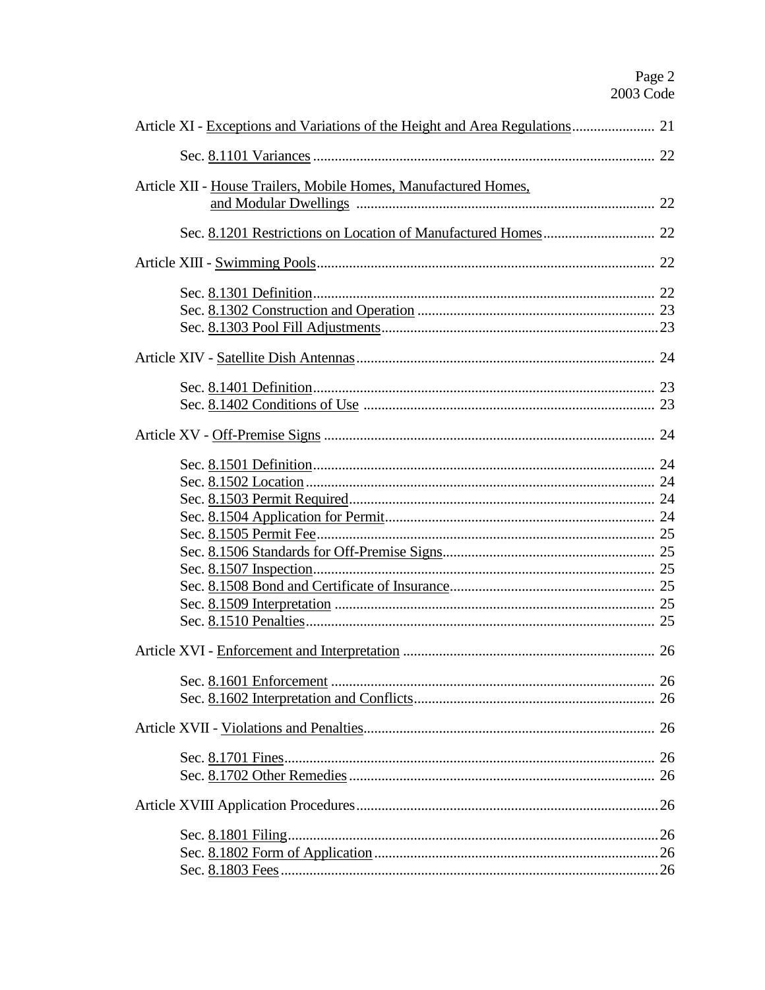| Article XII - House Trailers, Mobile Homes, Manufactured Homes, |  |
|-----------------------------------------------------------------|--|
|                                                                 |  |
|                                                                 |  |
|                                                                 |  |
|                                                                 |  |
|                                                                 |  |
|                                                                 |  |
|                                                                 |  |
|                                                                 |  |
|                                                                 |  |
|                                                                 |  |
|                                                                 |  |
|                                                                 |  |
|                                                                 |  |
|                                                                 |  |
|                                                                 |  |
|                                                                 |  |
|                                                                 |  |
|                                                                 |  |
|                                                                 |  |
|                                                                 |  |
|                                                                 |  |
|                                                                 |  |
|                                                                 |  |
|                                                                 |  |
|                                                                 |  |
|                                                                 |  |
|                                                                 |  |
|                                                                 |  |
|                                                                 |  |
|                                                                 |  |
|                                                                 |  |
|                                                                 |  |
|                                                                 |  |
|                                                                 |  |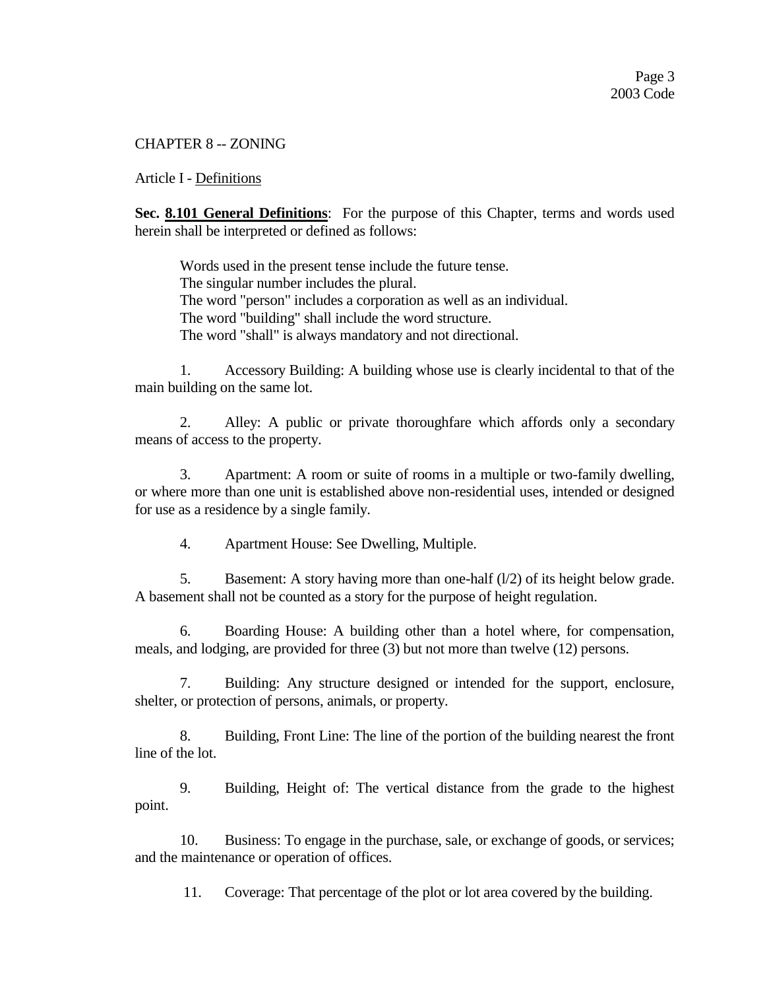CHAPTER 8 -- ZONING

Article I - Definitions

**Sec. 8.101 General Definitions**: For the purpose of this Chapter, terms and words used herein shall be interpreted or defined as follows:

Words used in the present tense include the future tense. The singular number includes the plural. The word "person" includes a corporation as well as an individual. The word "building" shall include the word structure. The word "shall" is always mandatory and not directional.

1. Accessory Building: A building whose use is clearly incidental to that of the main building on the same lot.

2. Alley: A public or private thoroughfare which affords only a secondary means of access to the property.

3. Apartment: A room or suite of rooms in a multiple or two-family dwelling, or where more than one unit is established above non-residential uses, intended or designed for use as a residence by a single family.

4. Apartment House: See Dwelling, Multiple.

5. Basement: A story having more than one-half (l/2) of its height below grade. A basement shall not be counted as a story for the purpose of height regulation.

6. Boarding House: A building other than a hotel where, for compensation, meals, and lodging, are provided for three (3) but not more than twelve (12) persons.

7. Building: Any structure designed or intended for the support, enclosure, shelter, or protection of persons, animals, or property.

8. Building, Front Line: The line of the portion of the building nearest the front line of the lot.

9. Building, Height of: The vertical distance from the grade to the highest point.

10. Business: To engage in the purchase, sale, or exchange of goods, or services; and the maintenance or operation of offices.

11. Coverage: That percentage of the plot or lot area covered by the building.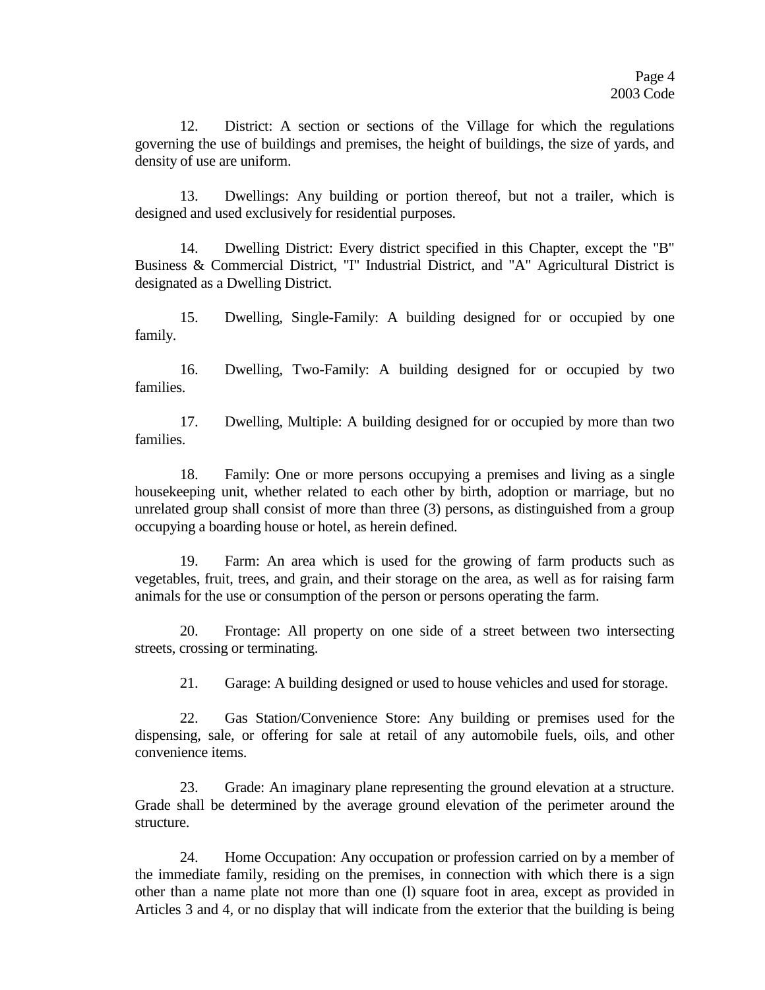12. District: A section or sections of the Village for which the regulations governing the use of buildings and premises, the height of buildings, the size of yards, and density of use are uniform.

13. Dwellings: Any building or portion thereof, but not a trailer, which is designed and used exclusively for residential purposes.

14. Dwelling District: Every district specified in this Chapter, except the "B" Business & Commercial District, "I" Industrial District, and "A" Agricultural District is designated as a Dwelling District.

15. Dwelling, Single-Family: A building designed for or occupied by one family.

16. Dwelling, Two-Family: A building designed for or occupied by two families.

17. Dwelling, Multiple: A building designed for or occupied by more than two families.

18. Family: One or more persons occupying a premises and living as a single housekeeping unit, whether related to each other by birth, adoption or marriage, but no unrelated group shall consist of more than three (3) persons, as distinguished from a group occupying a boarding house or hotel, as herein defined.

19. Farm: An area which is used for the growing of farm products such as vegetables, fruit, trees, and grain, and their storage on the area, as well as for raising farm animals for the use or consumption of the person or persons operating the farm.

20. Frontage: All property on one side of a street between two intersecting streets, crossing or terminating.

21. Garage: A building designed or used to house vehicles and used for storage.

22. Gas Station/Convenience Store: Any building or premises used for the dispensing, sale, or offering for sale at retail of any automobile fuels, oils, and other convenience items.

23. Grade: An imaginary plane representing the ground elevation at a structure. Grade shall be determined by the average ground elevation of the perimeter around the structure.

24. Home Occupation: Any occupation or profession carried on by a member of the immediate family, residing on the premises, in connection with which there is a sign other than a name plate not more than one (l) square foot in area, except as provided in Articles 3 and 4, or no display that will indicate from the exterior that the building is being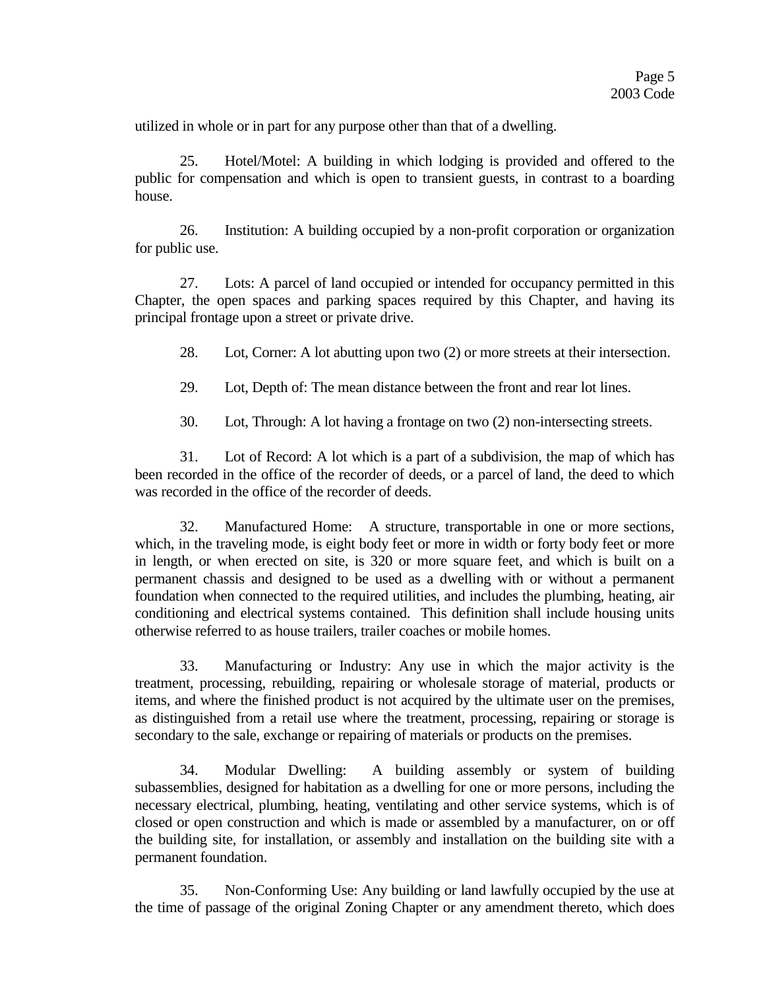utilized in whole or in part for any purpose other than that of a dwelling.

25. Hotel/Motel: A building in which lodging is provided and offered to the public for compensation and which is open to transient guests, in contrast to a boarding house.

26. Institution: A building occupied by a non-profit corporation or organization for public use.

27. Lots: A parcel of land occupied or intended for occupancy permitted in this Chapter, the open spaces and parking spaces required by this Chapter, and having its principal frontage upon a street or private drive.

28. Lot, Corner: A lot abutting upon two (2) or more streets at their intersection.

- 29. Lot, Depth of: The mean distance between the front and rear lot lines.
- 30. Lot, Through: A lot having a frontage on two (2) non-intersecting streets.

31. Lot of Record: A lot which is a part of a subdivision, the map of which has been recorded in the office of the recorder of deeds, or a parcel of land, the deed to which was recorded in the office of the recorder of deeds.

32. Manufactured Home: A structure, transportable in one or more sections, which, in the traveling mode, is eight body feet or more in width or forty body feet or more in length, or when erected on site, is 320 or more square feet, and which is built on a permanent chassis and designed to be used as a dwelling with or without a permanent foundation when connected to the required utilities, and includes the plumbing, heating, air conditioning and electrical systems contained. This definition shall include housing units otherwise referred to as house trailers, trailer coaches or mobile homes.

33. Manufacturing or Industry: Any use in which the major activity is the treatment, processing, rebuilding, repairing or wholesale storage of material, products or items, and where the finished product is not acquired by the ultimate user on the premises, as distinguished from a retail use where the treatment, processing, repairing or storage is secondary to the sale, exchange or repairing of materials or products on the premises.

34. Modular Dwelling: A building assembly or system of building subassemblies, designed for habitation as a dwelling for one or more persons, including the necessary electrical, plumbing, heating, ventilating and other service systems, which is of closed or open construction and which is made or assembled by a manufacturer, on or off the building site, for installation, or assembly and installation on the building site with a permanent foundation.

35. Non-Conforming Use: Any building or land lawfully occupied by the use at the time of passage of the original Zoning Chapter or any amendment thereto, which does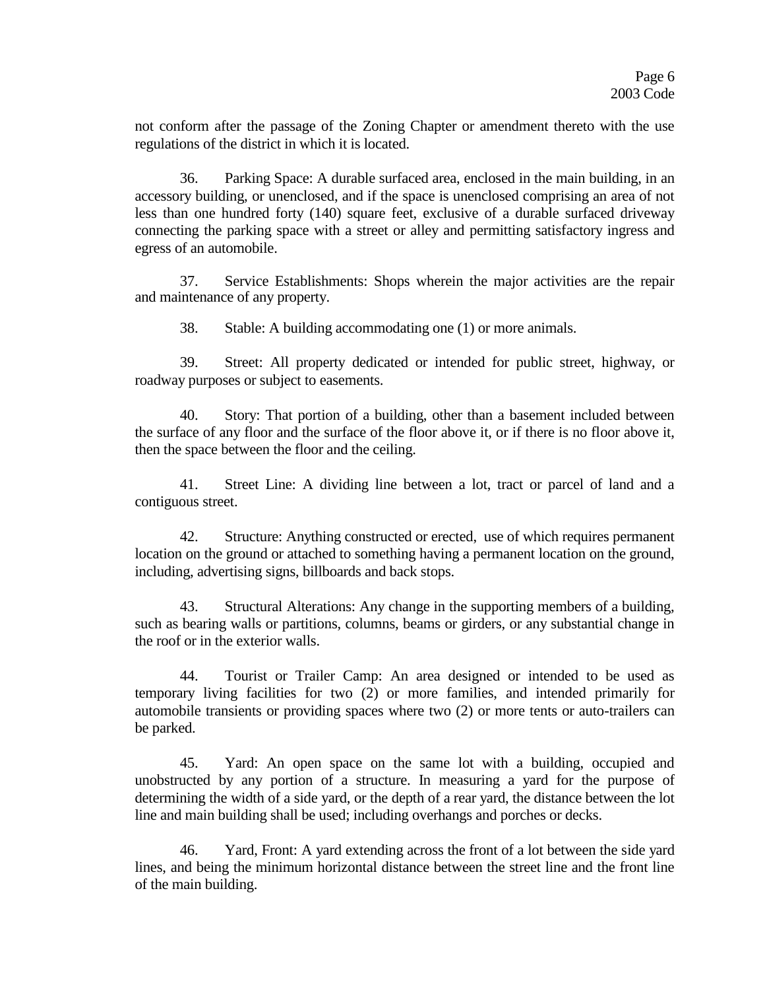not conform after the passage of the Zoning Chapter or amendment thereto with the use regulations of the district in which it is located.

36. Parking Space: A durable surfaced area, enclosed in the main building, in an accessory building, or unenclosed, and if the space is unenclosed comprising an area of not less than one hundred forty (140) square feet, exclusive of a durable surfaced driveway connecting the parking space with a street or alley and permitting satisfactory ingress and egress of an automobile.

37. Service Establishments: Shops wherein the major activities are the repair and maintenance of any property.

38. Stable: A building accommodating one (1) or more animals.

39. Street: All property dedicated or intended for public street, highway, or roadway purposes or subject to easements.

40. Story: That portion of a building, other than a basement included between the surface of any floor and the surface of the floor above it, or if there is no floor above it, then the space between the floor and the ceiling.

41. Street Line: A dividing line between a lot, tract or parcel of land and a contiguous street.

42. Structure: Anything constructed or erected, use of which requires permanent location on the ground or attached to something having a permanent location on the ground, including, advertising signs, billboards and back stops.

43. Structural Alterations: Any change in the supporting members of a building, such as bearing walls or partitions, columns, beams or girders, or any substantial change in the roof or in the exterior walls.

44. Tourist or Trailer Camp: An area designed or intended to be used as temporary living facilities for two (2) or more families, and intended primarily for automobile transients or providing spaces where two (2) or more tents or auto-trailers can be parked.

45. Yard: An open space on the same lot with a building, occupied and unobstructed by any portion of a structure. In measuring a yard for the purpose of determining the width of a side yard, or the depth of a rear yard, the distance between the lot line and main building shall be used; including overhangs and porches or decks.

46. Yard, Front: A yard extending across the front of a lot between the side yard lines, and being the minimum horizontal distance between the street line and the front line of the main building.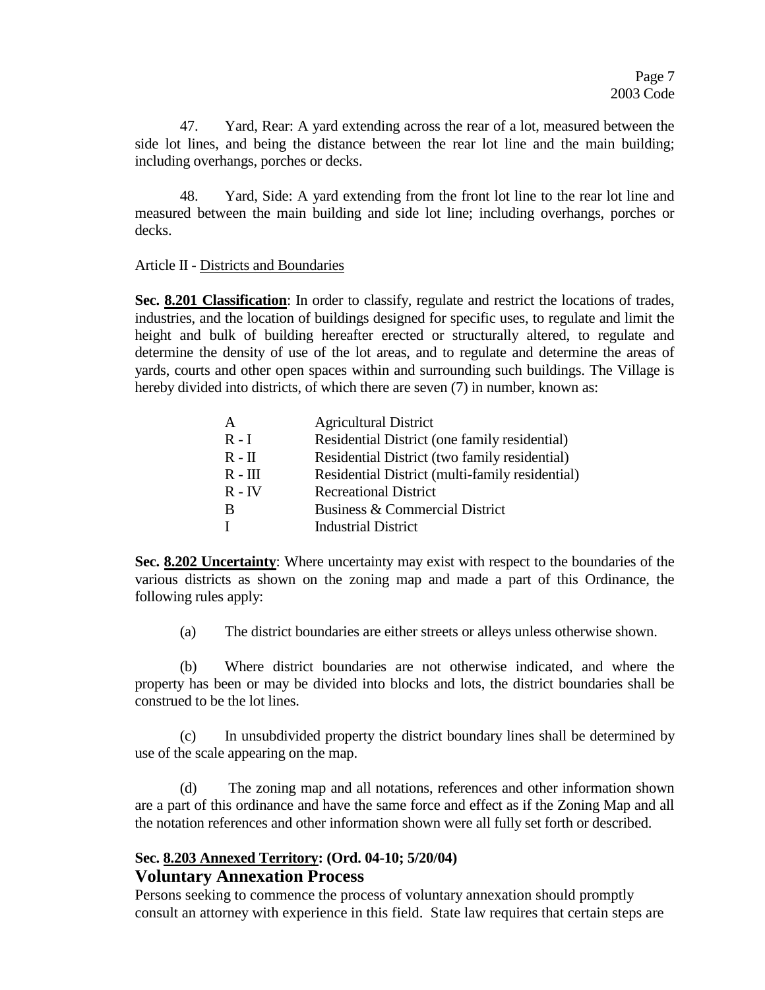47. Yard, Rear: A yard extending across the rear of a lot, measured between the side lot lines, and being the distance between the rear lot line and the main building; including overhangs, porches or decks.

48. Yard, Side: A yard extending from the front lot line to the rear lot line and measured between the main building and side lot line; including overhangs, porches or decks.

# Article II - Districts and Boundaries

**Sec. 8.201 Classification**: In order to classify, regulate and restrict the locations of trades, industries, and the location of buildings designed for specific uses, to regulate and limit the height and bulk of building hereafter erected or structurally altered, to regulate and determine the density of use of the lot areas, and to regulate and determine the areas of yards, courts and other open spaces within and surrounding such buildings. The Village is hereby divided into districts, of which there are seven (7) in number, known as:

| <b>Agricultural District</b>                    |
|-------------------------------------------------|
| Residential District (one family residential)   |
| Residential District (two family residential)   |
| Residential District (multi-family residential) |
| <b>Recreational District</b>                    |
| Business & Commercial District                  |
| <b>Industrial District</b>                      |
|                                                 |

**Sec. 8.202 Uncertainty**: Where uncertainty may exist with respect to the boundaries of the various districts as shown on the zoning map and made a part of this Ordinance, the following rules apply:

(a) The district boundaries are either streets or alleys unless otherwise shown.

(b) Where district boundaries are not otherwise indicated, and where the property has been or may be divided into blocks and lots, the district boundaries shall be construed to be the lot lines.

(c) In unsubdivided property the district boundary lines shall be determined by use of the scale appearing on the map.

(d) The zoning map and all notations, references and other information shown are a part of this ordinance and have the same force and effect as if the Zoning Map and all the notation references and other information shown were all fully set forth or described.

# **Sec. 8.203 Annexed Territory: (Ord. 04-10; 5/20/04) Voluntary Annexation Process**

Persons seeking to commence the process of voluntary annexation should promptly consult an attorney with experience in this field. State law requires that certain steps are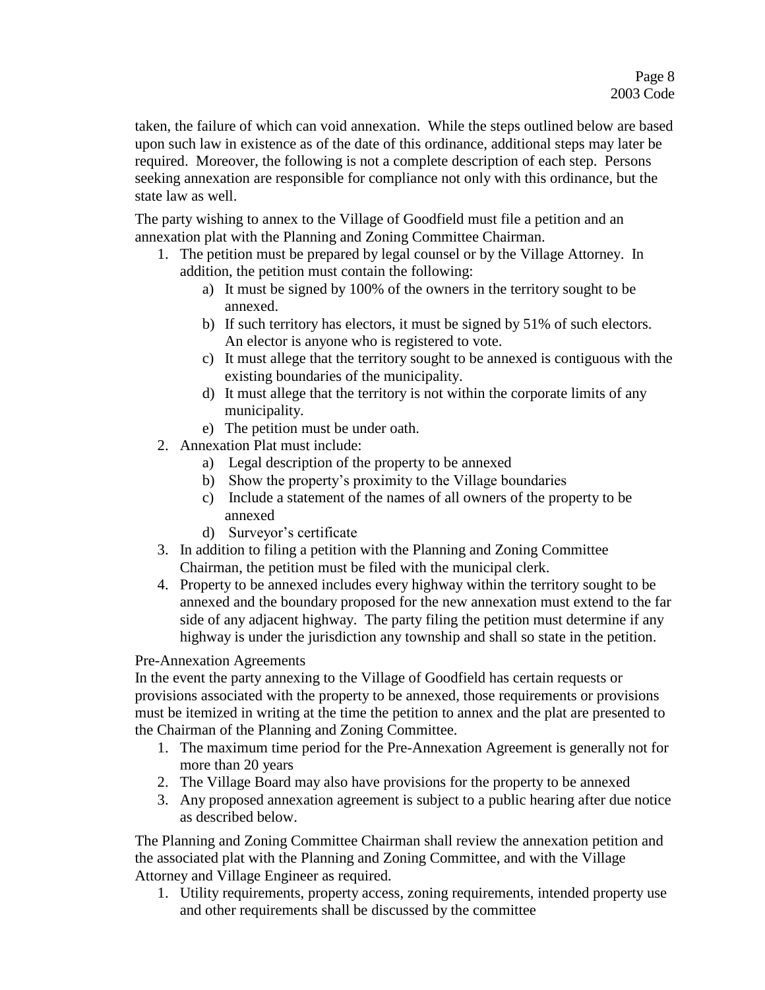taken, the failure of which can void annexation. While the steps outlined below are based upon such law in existence as of the date of this ordinance, additional steps may later be required. Moreover, the following is not a complete description of each step. Persons seeking annexation are responsible for compliance not only with this ordinance, but the state law as well.

The party wishing to annex to the Village of Goodfield must file a petition and an annexation plat with the Planning and Zoning Committee Chairman.

- 1. The petition must be prepared by legal counsel or by the Village Attorney. In addition, the petition must contain the following:
	- a) It must be signed by 100% of the owners in the territory sought to be annexed.
	- b) If such territory has electors, it must be signed by 51% of such electors. An elector is anyone who is registered to vote.
	- c) It must allege that the territory sought to be annexed is contiguous with the existing boundaries of the municipality.
	- d) It must allege that the territory is not within the corporate limits of any municipality.
	- e) The petition must be under oath.
- 2. Annexation Plat must include:
	- a) Legal description of the property to be annexed
	- b) Show the property's proximity to the Village boundaries
	- c) Include a statement of the names of all owners of the property to be annexed
	- d) Surveyor's certificate
- 3. In addition to filing a petition with the Planning and Zoning Committee Chairman, the petition must be filed with the municipal clerk.
- 4. Property to be annexed includes every highway within the territory sought to be annexed and the boundary proposed for the new annexation must extend to the far side of any adjacent highway. The party filing the petition must determine if any highway is under the jurisdiction any township and shall so state in the petition.

# Pre-Annexation Agreements

In the event the party annexing to the Village of Goodfield has certain requests or provisions associated with the property to be annexed, those requirements or provisions must be itemized in writing at the time the petition to annex and the plat are presented to the Chairman of the Planning and Zoning Committee.

- 1. The maximum time period for the Pre-Annexation Agreement is generally not for more than 20 years
- 2. The Village Board may also have provisions for the property to be annexed
- 3. Any proposed annexation agreement is subject to a public hearing after due notice as described below.

The Planning and Zoning Committee Chairman shall review the annexation petition and the associated plat with the Planning and Zoning Committee, and with the Village Attorney and Village Engineer as required.

1. Utility requirements, property access, zoning requirements, intended property use and other requirements shall be discussed by the committee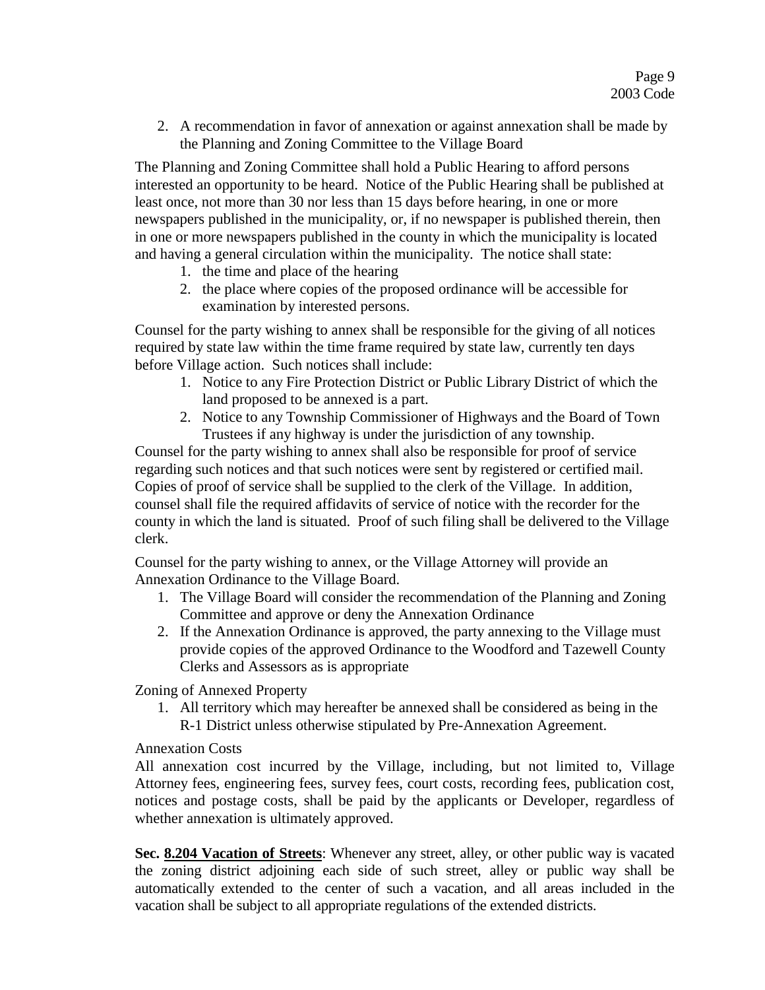2. A recommendation in favor of annexation or against annexation shall be made by the Planning and Zoning Committee to the Village Board

The Planning and Zoning Committee shall hold a Public Hearing to afford persons interested an opportunity to be heard. Notice of the Public Hearing shall be published at least once, not more than 30 nor less than 15 days before hearing, in one or more newspapers published in the municipality, or, if no newspaper is published therein, then in one or more newspapers published in the county in which the municipality is located and having a general circulation within the municipality. The notice shall state:

- 1. the time and place of the hearing
- 2. the place where copies of the proposed ordinance will be accessible for examination by interested persons.

Counsel for the party wishing to annex shall be responsible for the giving of all notices required by state law within the time frame required by state law, currently ten days before Village action. Such notices shall include:

- 1. Notice to any Fire Protection District or Public Library District of which the land proposed to be annexed is a part.
- 2. Notice to any Township Commissioner of Highways and the Board of Town Trustees if any highway is under the jurisdiction of any township.

Counsel for the party wishing to annex shall also be responsible for proof of service regarding such notices and that such notices were sent by registered or certified mail. Copies of proof of service shall be supplied to the clerk of the Village. In addition, counsel shall file the required affidavits of service of notice with the recorder for the county in which the land is situated. Proof of such filing shall be delivered to the Village clerk.

Counsel for the party wishing to annex, or the Village Attorney will provide an Annexation Ordinance to the Village Board.

- 1. The Village Board will consider the recommendation of the Planning and Zoning Committee and approve or deny the Annexation Ordinance
- 2. If the Annexation Ordinance is approved, the party annexing to the Village must provide copies of the approved Ordinance to the Woodford and Tazewell County Clerks and Assessors as is appropriate

Zoning of Annexed Property

1. All territory which may hereafter be annexed shall be considered as being in the R-1 District unless otherwise stipulated by Pre-Annexation Agreement.

# Annexation Costs

All annexation cost incurred by the Village, including, but not limited to, Village Attorney fees, engineering fees, survey fees, court costs, recording fees, publication cost, notices and postage costs, shall be paid by the applicants or Developer, regardless of whether annexation is ultimately approved.

**Sec. 8.204 Vacation of Streets**: Whenever any street, alley, or other public way is vacated the zoning district adjoining each side of such street, alley or public way shall be automatically extended to the center of such a vacation, and all areas included in the vacation shall be subject to all appropriate regulations of the extended districts.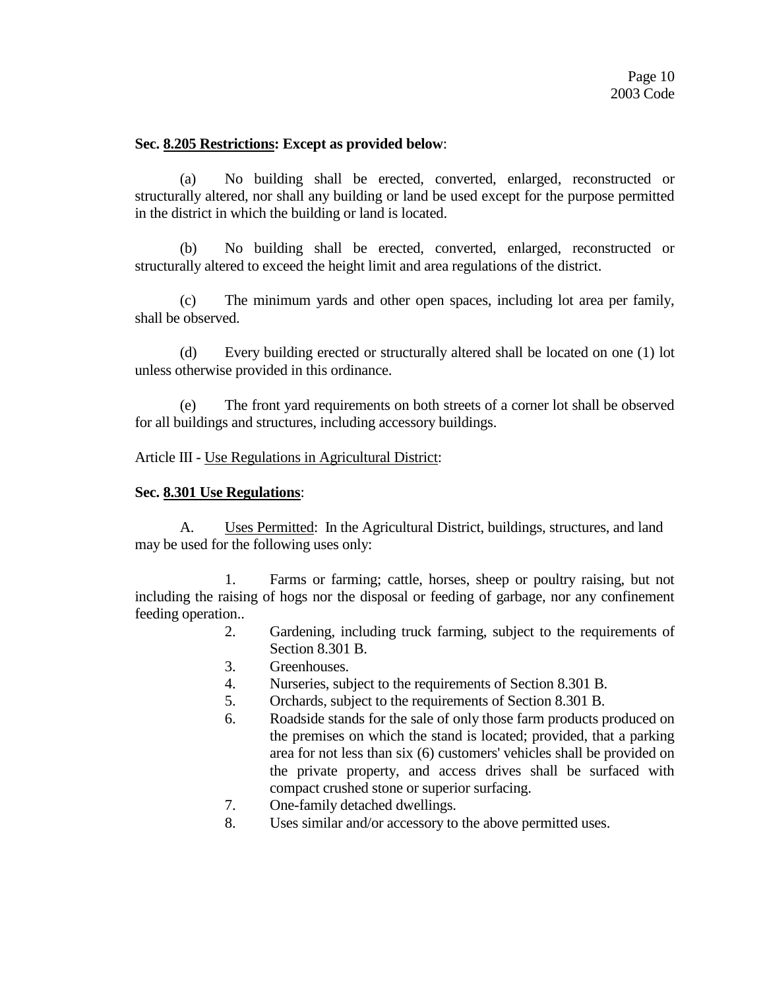### **Sec. 8.205 Restrictions: Except as provided below**:

(a) No building shall be erected, converted, enlarged, reconstructed or structurally altered, nor shall any building or land be used except for the purpose permitted in the district in which the building or land is located.

(b) No building shall be erected, converted, enlarged, reconstructed or structurally altered to exceed the height limit and area regulations of the district.

(c) The minimum yards and other open spaces, including lot area per family, shall be observed.

(d) Every building erected or structurally altered shall be located on one (1) lot unless otherwise provided in this ordinance.

(e) The front yard requirements on both streets of a corner lot shall be observed for all buildings and structures, including accessory buildings.

#### Article III - Use Regulations in Agricultural District:

#### **Sec. 8.301 Use Regulations**:

A. Uses Permitted: In the Agricultural District, buildings, structures, and land may be used for the following uses only:

1. Farms or farming; cattle, horses, sheep or poultry raising, but not including the raising of hogs nor the disposal or feeding of garbage, nor any confinement feeding operation..

- 2. Gardening, including truck farming, subject to the requirements of Section 8.301 B.
- 3. Greenhouses.
- 4. Nurseries, subject to the requirements of Section 8.301 B.
- 5. Orchards, subject to the requirements of Section 8.301 B.
- 6. Roadside stands for the sale of only those farm products produced on the premises on which the stand is located; provided, that a parking area for not less than six (6) customers' vehicles shall be provided on the private property, and access drives shall be surfaced with compact crushed stone or superior surfacing.
- 7. One-family detached dwellings.
- 8. Uses similar and/or accessory to the above permitted uses.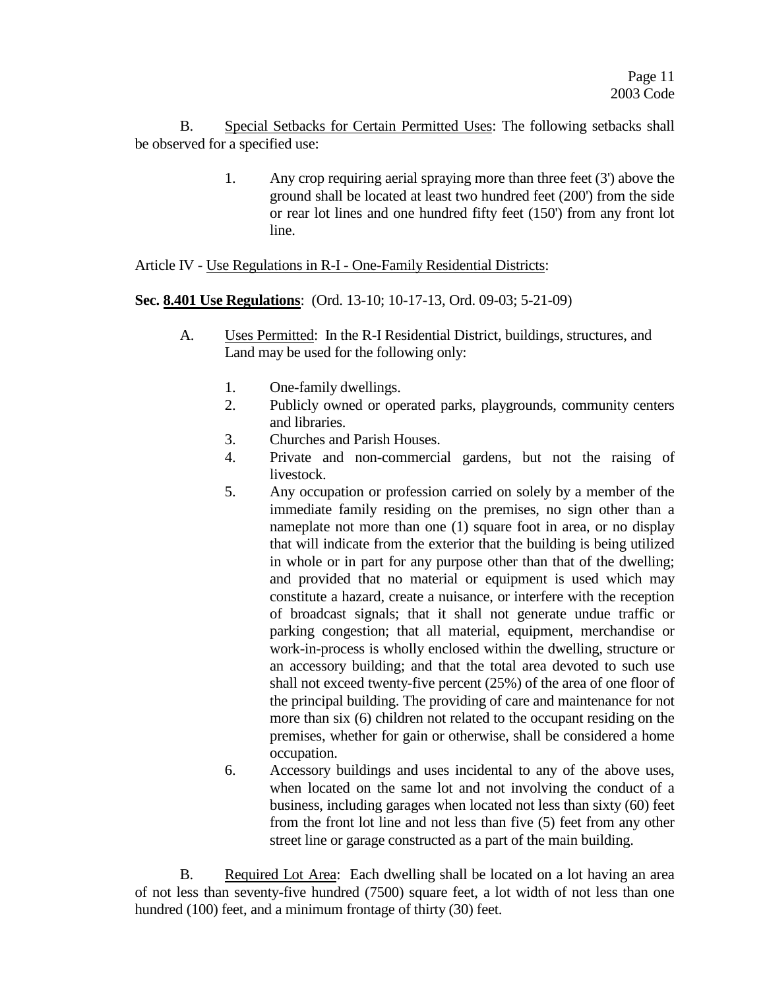B. Special Setbacks for Certain Permitted Uses: The following setbacks shall be observed for a specified use:

> 1. Any crop requiring aerial spraying more than three feet (3') above the ground shall be located at least two hundred feet (200') from the side or rear lot lines and one hundred fifty feet (150') from any front lot line.

Article IV - Use Regulations in R-I - One-Family Residential Districts:

**Sec. 8.401 Use Regulations**: (Ord. 13-10; 10-17-13, Ord. 09-03; 5-21-09)

- A. Uses Permitted: In the R-I Residential District, buildings, structures, and Land may be used for the following only:
	- 1. One-family dwellings.
	- 2. Publicly owned or operated parks, playgrounds, community centers and libraries.
	- 3. Churches and Parish Houses.
	- 4. Private and non-commercial gardens, but not the raising of livestock.
	- 5. Any occupation or profession carried on solely by a member of the immediate family residing on the premises, no sign other than a nameplate not more than one (1) square foot in area, or no display that will indicate from the exterior that the building is being utilized in whole or in part for any purpose other than that of the dwelling; and provided that no material or equipment is used which may constitute a hazard, create a nuisance, or interfere with the reception of broadcast signals; that it shall not generate undue traffic or parking congestion; that all material, equipment, merchandise or work-in-process is wholly enclosed within the dwelling, structure or an accessory building; and that the total area devoted to such use shall not exceed twenty-five percent (25%) of the area of one floor of the principal building. The providing of care and maintenance for not more than six (6) children not related to the occupant residing on the premises, whether for gain or otherwise, shall be considered a home occupation.
	- 6. Accessory buildings and uses incidental to any of the above uses, when located on the same lot and not involving the conduct of a business, including garages when located not less than sixty (60) feet from the front lot line and not less than five (5) feet from any other street line or garage constructed as a part of the main building.

B. Required Lot Area: Each dwelling shall be located on a lot having an area of not less than seventy-five hundred (7500) square feet, a lot width of not less than one hundred (100) feet, and a minimum frontage of thirty (30) feet.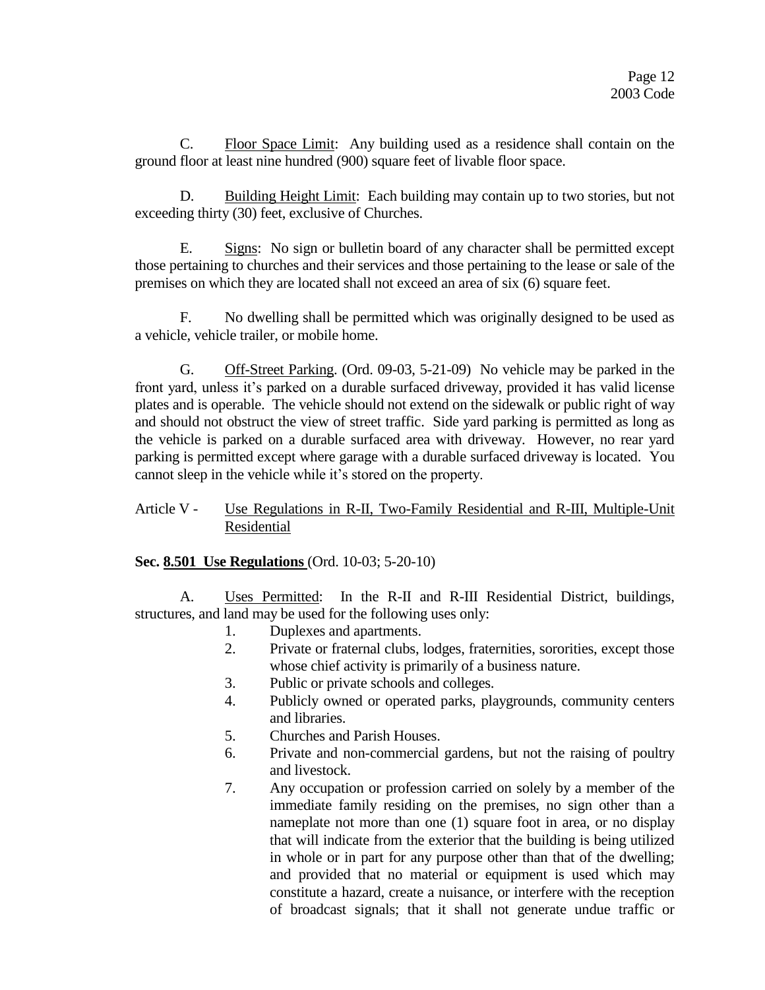C. Floor Space Limit: Any building used as a residence shall contain on the ground floor at least nine hundred (900) square feet of livable floor space.

D. Building Height Limit: Each building may contain up to two stories, but not exceeding thirty (30) feet, exclusive of Churches.

E. Signs: No sign or bulletin board of any character shall be permitted except those pertaining to churches and their services and those pertaining to the lease or sale of the premises on which they are located shall not exceed an area of six (6) square feet.

F. No dwelling shall be permitted which was originally designed to be used as a vehicle, vehicle trailer, or mobile home.

G. Off-Street Parking. (Ord. 09-03, 5-21-09) No vehicle may be parked in the front yard, unless it's parked on a durable surfaced driveway, provided it has valid license plates and is operable. The vehicle should not extend on the sidewalk or public right of way and should not obstruct the view of street traffic. Side yard parking is permitted as long as the vehicle is parked on a durable surfaced area with driveway. However, no rear yard parking is permitted except where garage with a durable surfaced driveway is located. You cannot sleep in the vehicle while it's stored on the property.

# Article V - Use Regulations in R-II, Two-Family Residential and R-III, Multiple-Unit Residential

**Sec. 8.501 Use Regulations** (Ord. 10-03; 5-20-10)

A. Uses Permitted: In the R-II and R-III Residential District, buildings, structures, and land may be used for the following uses only:

- 1. Duplexes and apartments.
- 2. Private or fraternal clubs, lodges, fraternities, sororities, except those whose chief activity is primarily of a business nature.
- 3. Public or private schools and colleges.
- 4. Publicly owned or operated parks, playgrounds, community centers and libraries.
- 5. Churches and Parish Houses.
- 6. Private and non-commercial gardens, but not the raising of poultry and livestock.
- 7. Any occupation or profession carried on solely by a member of the immediate family residing on the premises, no sign other than a nameplate not more than one (1) square foot in area, or no display that will indicate from the exterior that the building is being utilized in whole or in part for any purpose other than that of the dwelling; and provided that no material or equipment is used which may constitute a hazard, create a nuisance, or interfere with the reception of broadcast signals; that it shall not generate undue traffic or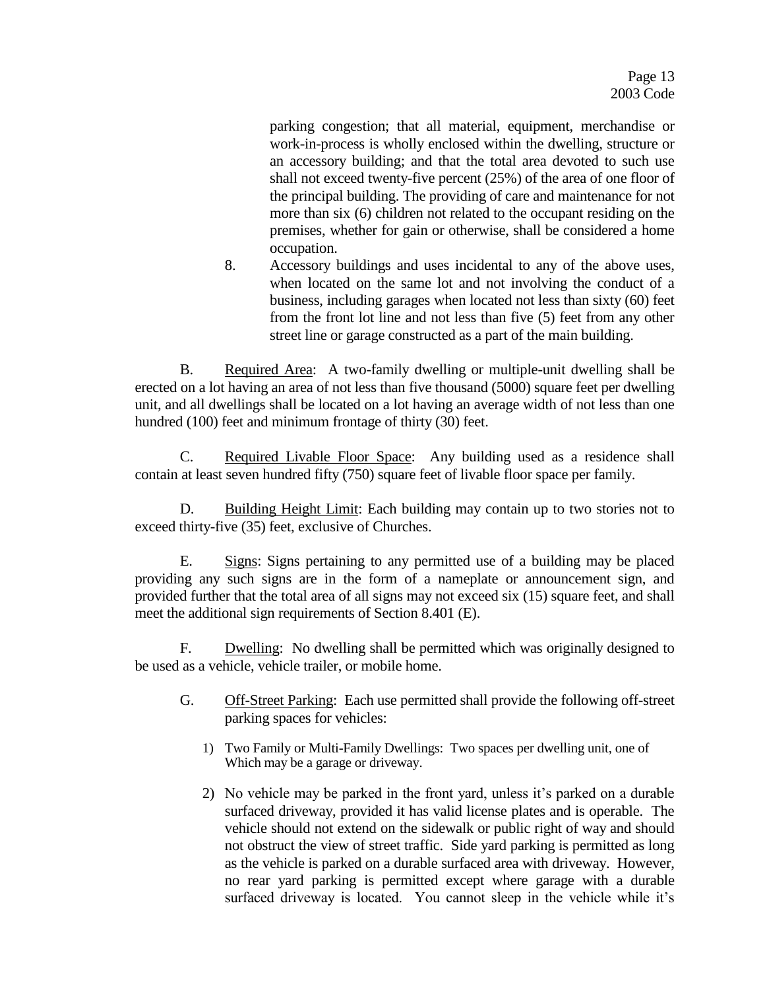parking congestion; that all material, equipment, merchandise or work-in-process is wholly enclosed within the dwelling, structure or an accessory building; and that the total area devoted to such use shall not exceed twenty-five percent (25%) of the area of one floor of the principal building. The providing of care and maintenance for not more than six (6) children not related to the occupant residing on the premises, whether for gain or otherwise, shall be considered a home occupation.

8. Accessory buildings and uses incidental to any of the above uses, when located on the same lot and not involving the conduct of a business, including garages when located not less than sixty (60) feet from the front lot line and not less than five (5) feet from any other street line or garage constructed as a part of the main building.

B. Required Area: A two-family dwelling or multiple-unit dwelling shall be erected on a lot having an area of not less than five thousand (5000) square feet per dwelling unit, and all dwellings shall be located on a lot having an average width of not less than one hundred (100) feet and minimum frontage of thirty (30) feet.

C. Required Livable Floor Space: Any building used as a residence shall contain at least seven hundred fifty (750) square feet of livable floor space per family.

D. Building Height Limit: Each building may contain up to two stories not to exceed thirty-five (35) feet, exclusive of Churches.

E. Signs: Signs pertaining to any permitted use of a building may be placed providing any such signs are in the form of a nameplate or announcement sign, and provided further that the total area of all signs may not exceed six (15) square feet, and shall meet the additional sign requirements of Section 8.401 (E).

F. Dwelling: No dwelling shall be permitted which was originally designed to be used as a vehicle, vehicle trailer, or mobile home.

- G. Off-Street Parking: Each use permitted shall provide the following off-street parking spaces for vehicles:
	- 1) Two Family or Multi-Family Dwellings: Two spaces per dwelling unit, one of Which may be a garage or driveway.
	- 2) No vehicle may be parked in the front yard, unless it's parked on a durable surfaced driveway, provided it has valid license plates and is operable. The vehicle should not extend on the sidewalk or public right of way and should not obstruct the view of street traffic. Side yard parking is permitted as long as the vehicle is parked on a durable surfaced area with driveway. However, no rear yard parking is permitted except where garage with a durable surfaced driveway is located. You cannot sleep in the vehicle while it's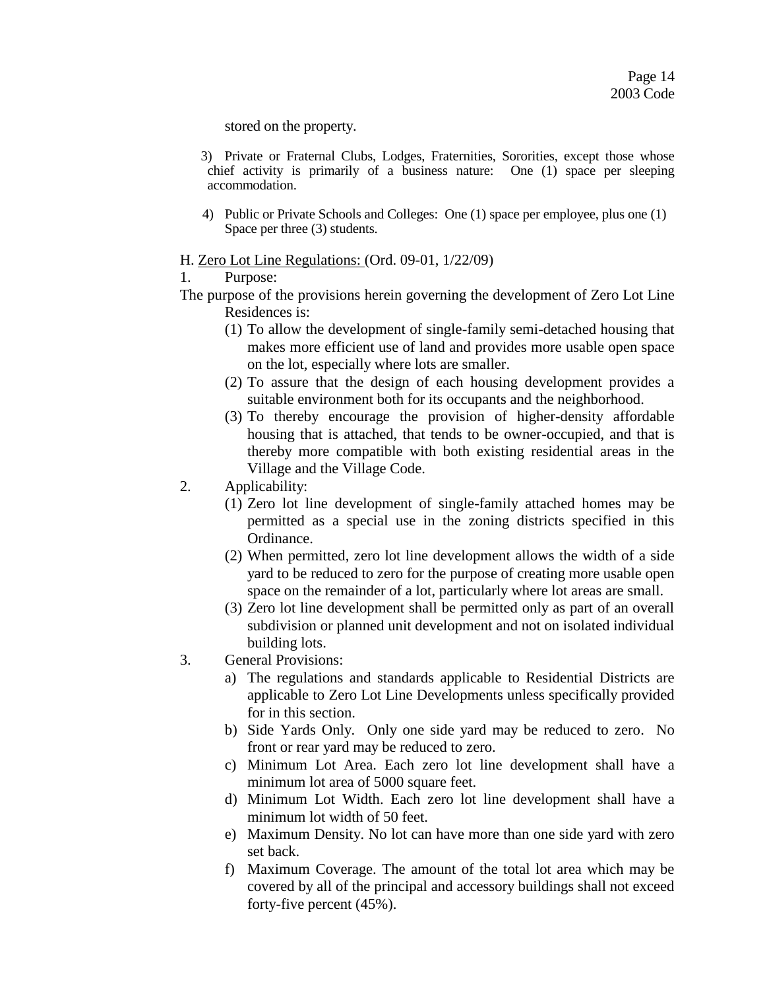stored on the property.

- 3) Private or Fraternal Clubs, Lodges, Fraternities, Sororities, except those whose chief activity is primarily of a business nature: One (1) space per sleeping accommodation.
- 4) Public or Private Schools and Colleges: One (1) space per employee, plus one (1) Space per three (3) students.

#### H. Zero Lot Line Regulations: (Ord. 09-01, 1/22/09)

1. Purpose:

The purpose of the provisions herein governing the development of Zero Lot Line Residences is:

- (1) To allow the development of single-family semi-detached housing that makes more efficient use of land and provides more usable open space on the lot, especially where lots are smaller.
- (2) To assure that the design of each housing development provides a suitable environment both for its occupants and the neighborhood.
- (3) To thereby encourage the provision of higher-density affordable housing that is attached, that tends to be owner-occupied, and that is thereby more compatible with both existing residential areas in the Village and the Village Code.
- 2. Applicability:
	- (1) Zero lot line development of single-family attached homes may be permitted as a special use in the zoning districts specified in this Ordinance.
	- (2) When permitted, zero lot line development allows the width of a side yard to be reduced to zero for the purpose of creating more usable open space on the remainder of a lot, particularly where lot areas are small.
	- (3) Zero lot line development shall be permitted only as part of an overall subdivision or planned unit development and not on isolated individual building lots.
- 3. General Provisions:
	- a) The regulations and standards applicable to Residential Districts are applicable to Zero Lot Line Developments unless specifically provided for in this section.
	- b) Side Yards Only. Only one side yard may be reduced to zero. No front or rear yard may be reduced to zero.
	- c) Minimum Lot Area. Each zero lot line development shall have a minimum lot area of 5000 square feet.
	- d) Minimum Lot Width. Each zero lot line development shall have a minimum lot width of 50 feet.
	- e) Maximum Density. No lot can have more than one side yard with zero set back.
	- f) Maximum Coverage. The amount of the total lot area which may be covered by all of the principal and accessory buildings shall not exceed forty-five percent (45%).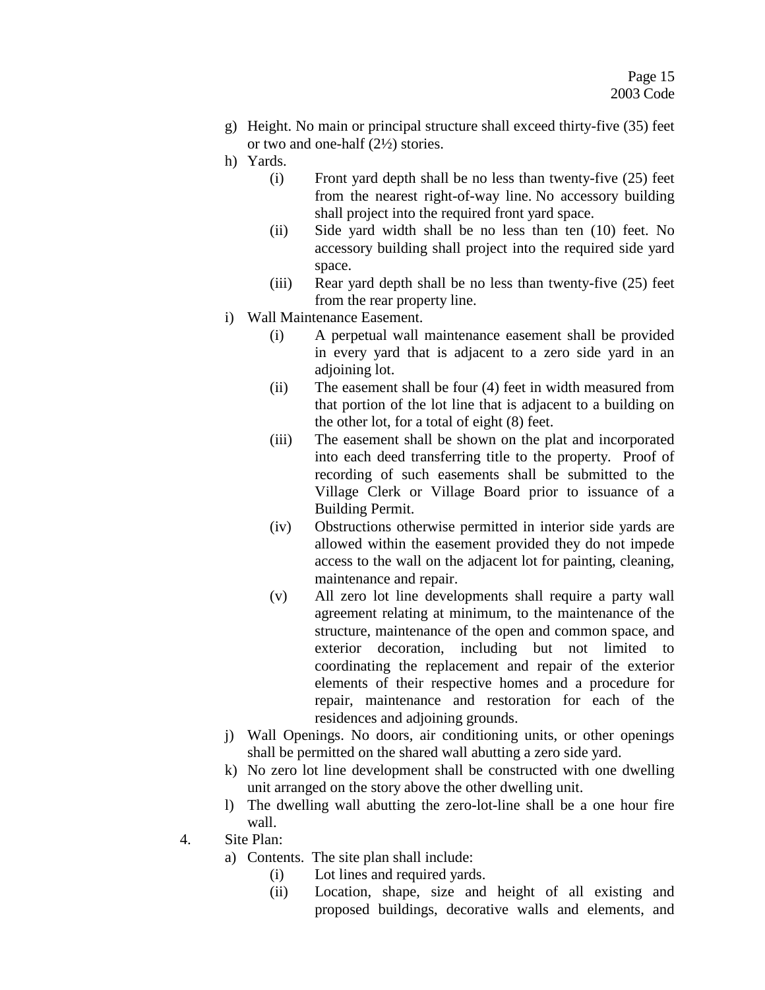- g) Height. No main or principal structure shall exceed thirty-five (35) feet or two and one-half (2½) stories.
- h) Yards.
	- (i) Front yard depth shall be no less than twenty-five (25) feet from the nearest right-of-way line. No accessory building shall project into the required front yard space.
	- (ii) Side yard width shall be no less than ten (10) feet. No accessory building shall project into the required side yard space.
	- (iii) Rear yard depth shall be no less than twenty-five (25) feet from the rear property line.
- i) Wall Maintenance Easement.
	- (i) A perpetual wall maintenance easement shall be provided in every yard that is adjacent to a zero side yard in an adjoining lot.
	- (ii) The easement shall be four (4) feet in width measured from that portion of the lot line that is adjacent to a building on the other lot, for a total of eight (8) feet.
	- (iii) The easement shall be shown on the plat and incorporated into each deed transferring title to the property. Proof of recording of such easements shall be submitted to the Village Clerk or Village Board prior to issuance of a Building Permit.
	- (iv) Obstructions otherwise permitted in interior side yards are allowed within the easement provided they do not impede access to the wall on the adjacent lot for painting, cleaning, maintenance and repair.
	- (v) All zero lot line developments shall require a party wall agreement relating at minimum, to the maintenance of the structure, maintenance of the open and common space, and exterior decoration, including but not limited to coordinating the replacement and repair of the exterior elements of their respective homes and a procedure for repair, maintenance and restoration for each of the residences and adjoining grounds.
- j) Wall Openings. No doors, air conditioning units, or other openings shall be permitted on the shared wall abutting a zero side yard.
- k) No zero lot line development shall be constructed with one dwelling unit arranged on the story above the other dwelling unit.
- l) The dwelling wall abutting the zero-lot-line shall be a one hour fire wall.
- 4. Site Plan:
	- a) Contents. The site plan shall include:
		- (i) Lot lines and required yards.
		- (ii) Location, shape, size and height of all existing and proposed buildings, decorative walls and elements, and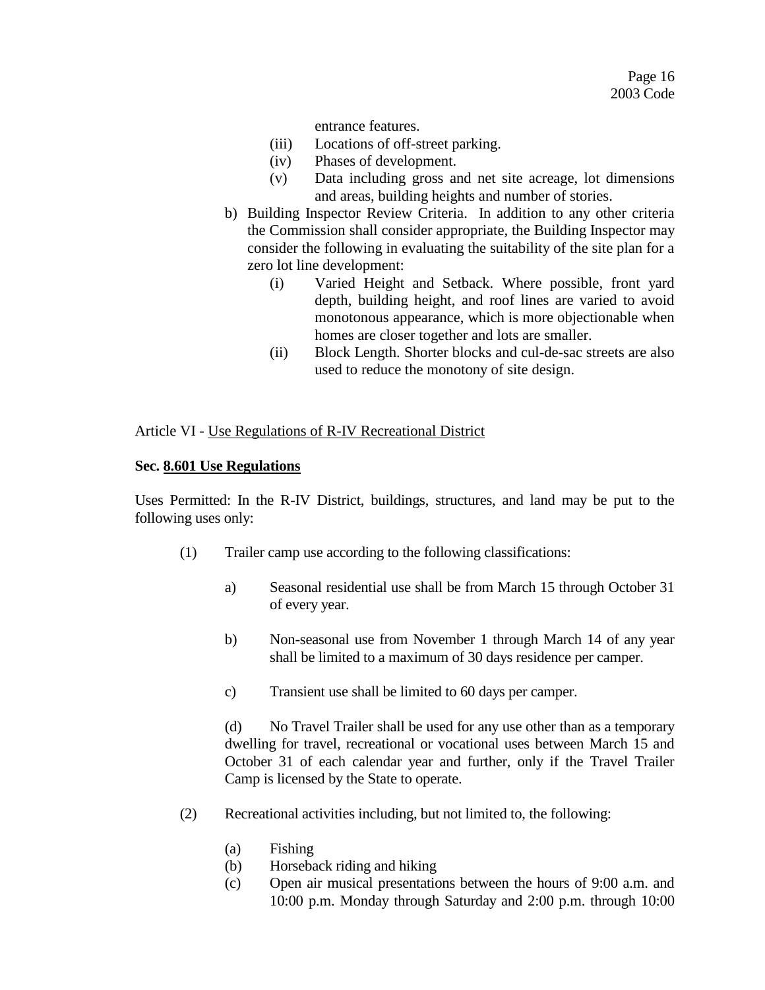entrance features.

- (iii) Locations of off-street parking.
- (iv) Phases of development.
- (v) Data including gross and net site acreage, lot dimensions and areas, building heights and number of stories.
- b) Building Inspector Review Criteria. In addition to any other criteria the Commission shall consider appropriate, the Building Inspector may consider the following in evaluating the suitability of the site plan for a zero lot line development:
	- (i) Varied Height and Setback. Where possible, front yard depth, building height, and roof lines are varied to avoid monotonous appearance, which is more objectionable when homes are closer together and lots are smaller.
	- (ii) Block Length. Shorter blocks and cul-de-sac streets are also used to reduce the monotony of site design.

## Article VI - Use Regulations of R-IV Recreational District

#### **Sec. 8.601 Use Regulations**

Uses Permitted: In the R-IV District, buildings, structures, and land may be put to the following uses only:

- (1) Trailer camp use according to the following classifications:
	- a) Seasonal residential use shall be from March 15 through October 31 of every year.
	- b) Non-seasonal use from November 1 through March 14 of any year shall be limited to a maximum of 30 days residence per camper.
	- c) Transient use shall be limited to 60 days per camper.

(d) No Travel Trailer shall be used for any use other than as a temporary dwelling for travel, recreational or vocational uses between March 15 and October 31 of each calendar year and further, only if the Travel Trailer Camp is licensed by the State to operate.

- (2) Recreational activities including, but not limited to, the following:
	- (a) Fishing
	- (b) Horseback riding and hiking
	- (c) Open air musical presentations between the hours of 9:00 a.m. and 10:00 p.m. Monday through Saturday and 2:00 p.m. through 10:00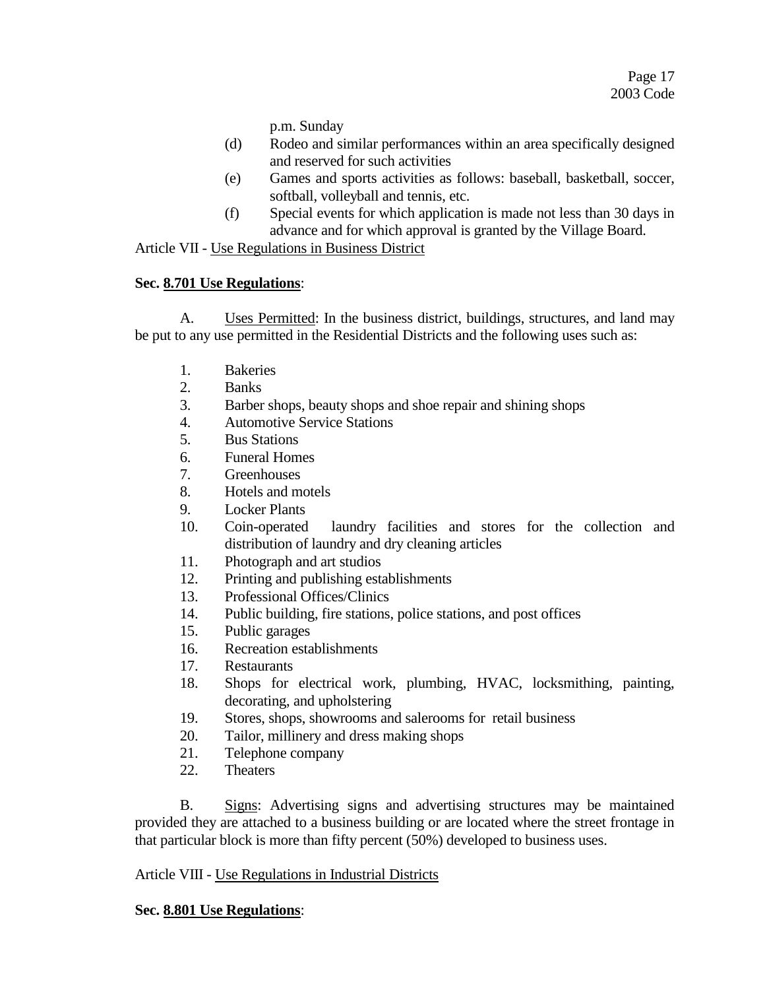p.m. Sunday

- (d) Rodeo and similar performances within an area specifically designed and reserved for such activities
- (e) Games and sports activities as follows: baseball, basketball, soccer, softball, volleyball and tennis, etc.
- (f) Special events for which application is made not less than 30 days in advance and for which approval is granted by the Village Board.

Article VII - Use Regulations in Business District

# **Sec. 8.701 Use Regulations**:

A. Uses Permitted: In the business district, buildings, structures, and land may be put to any use permitted in the Residential Districts and the following uses such as:

- 1. Bakeries
- 2. Banks
- 3. Barber shops, beauty shops and shoe repair and shining shops
- 4. Automotive Service Stations
- 5. Bus Stations
- 6. Funeral Homes
- 7. Greenhouses
- 8. Hotels and motels
- 9. Locker Plants
- 10. Coin-operated laundry facilities and stores for the collection and distribution of laundry and dry cleaning articles
- 11. Photograph and art studios
- 12. Printing and publishing establishments
- 13. Professional Offices/Clinics
- 14. Public building, fire stations, police stations, and post offices
- 15. Public garages
- 16. Recreation establishments
- 17. Restaurants
- 18. Shops for electrical work, plumbing, HVAC, locksmithing, painting, decorating, and upholstering
- 19. Stores, shops, showrooms and salerooms for retail business
- 20. Tailor, millinery and dress making shops
- 21. Telephone company
- 22. Theaters

B. Signs: Advertising signs and advertising structures may be maintained provided they are attached to a business building or are located where the street frontage in that particular block is more than fifty percent (50%) developed to business uses.

## Article VIII - Use Regulations in Industrial Districts

## **Sec. 8.801 Use Regulations**: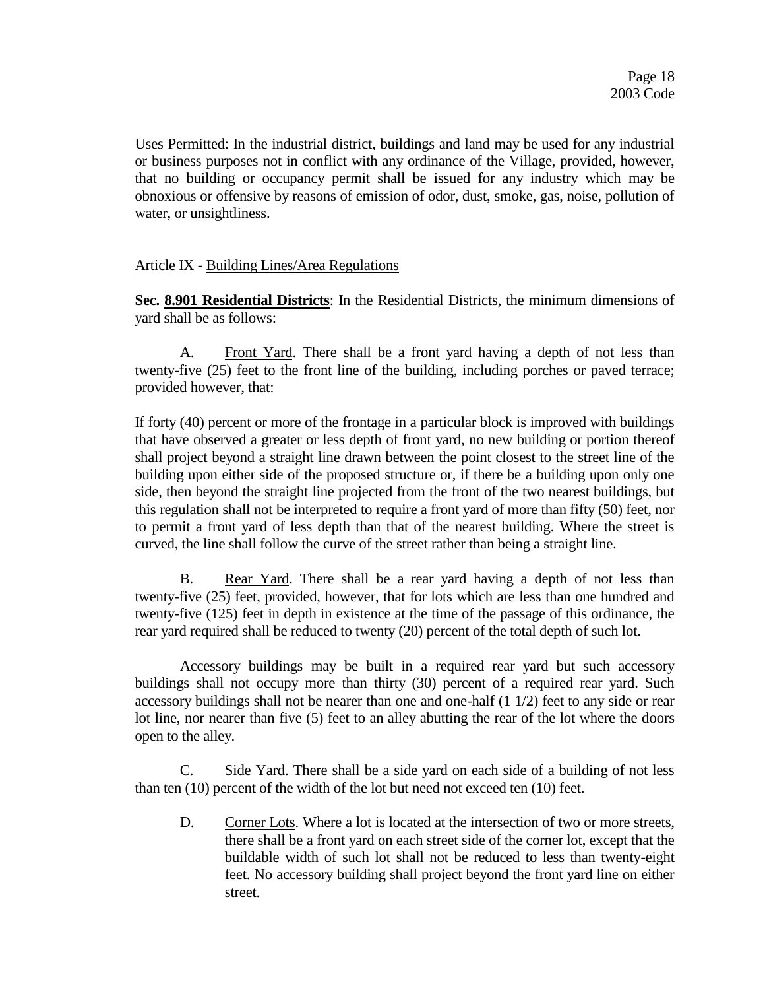Uses Permitted: In the industrial district, buildings and land may be used for any industrial or business purposes not in conflict with any ordinance of the Village, provided, however, that no building or occupancy permit shall be issued for any industry which may be obnoxious or offensive by reasons of emission of odor, dust, smoke, gas, noise, pollution of water, or unsightliness.

# Article IX - Building Lines/Area Regulations

**Sec. 8.901 Residential Districts**: In the Residential Districts, the minimum dimensions of yard shall be as follows:

A. Front Yard. There shall be a front yard having a depth of not less than twenty-five (25) feet to the front line of the building, including porches or paved terrace; provided however, that:

If forty (40) percent or more of the frontage in a particular block is improved with buildings that have observed a greater or less depth of front yard, no new building or portion thereof shall project beyond a straight line drawn between the point closest to the street line of the building upon either side of the proposed structure or, if there be a building upon only one side, then beyond the straight line projected from the front of the two nearest buildings, but this regulation shall not be interpreted to require a front yard of more than fifty (50) feet, nor to permit a front yard of less depth than that of the nearest building. Where the street is curved, the line shall follow the curve of the street rather than being a straight line.

B. Rear Yard. There shall be a rear yard having a depth of not less than twenty-five (25) feet, provided, however, that for lots which are less than one hundred and twenty-five (125) feet in depth in existence at the time of the passage of this ordinance, the rear yard required shall be reduced to twenty (20) percent of the total depth of such lot.

Accessory buildings may be built in a required rear yard but such accessory buildings shall not occupy more than thirty (30) percent of a required rear yard. Such accessory buildings shall not be nearer than one and one-half (1 1/2) feet to any side or rear lot line, nor nearer than five (5) feet to an alley abutting the rear of the lot where the doors open to the alley.

C. Side Yard. There shall be a side yard on each side of a building of not less than ten (10) percent of the width of the lot but need not exceed ten (10) feet.

D. Corner Lots. Where a lot is located at the intersection of two or more streets, there shall be a front yard on each street side of the corner lot, except that the buildable width of such lot shall not be reduced to less than twenty-eight feet. No accessory building shall project beyond the front yard line on either street.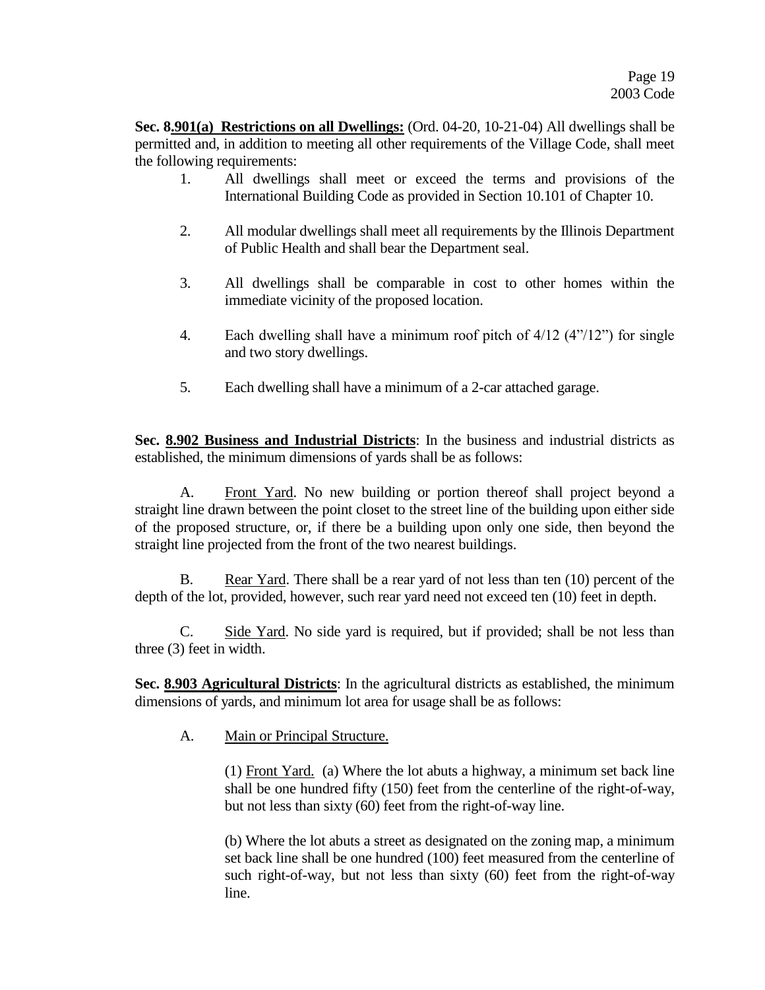**Sec. 8.901(a) Restrictions on all Dwellings:** (Ord. 04-20, 10-21-04) All dwellings shall be permitted and, in addition to meeting all other requirements of the Village Code, shall meet the following requirements:

- 1. All dwellings shall meet or exceed the terms and provisions of the International Building Code as provided in Section 10.101 of Chapter 10.
- 2. All modular dwellings shall meet all requirements by the Illinois Department of Public Health and shall bear the Department seal.
- 3. All dwellings shall be comparable in cost to other homes within the immediate vicinity of the proposed location.
- 4. Each dwelling shall have a minimum roof pitch of 4/12 (4"/12") for single and two story dwellings.
- 5. Each dwelling shall have a minimum of a 2-car attached garage.

**Sec. 8.902 Business and Industrial Districts**: In the business and industrial districts as established, the minimum dimensions of yards shall be as follows:

A. Front Yard. No new building or portion thereof shall project beyond a straight line drawn between the point closet to the street line of the building upon either side of the proposed structure, or, if there be a building upon only one side, then beyond the straight line projected from the front of the two nearest buildings.

B. Rear Yard. There shall be a rear yard of not less than ten (10) percent of the depth of the lot, provided, however, such rear yard need not exceed ten (10) feet in depth.

C. Side Yard. No side yard is required, but if provided; shall be not less than three (3) feet in width.

**Sec. 8.903 Agricultural Districts**: In the agricultural districts as established, the minimum dimensions of yards, and minimum lot area for usage shall be as follows:

A. Main or Principal Structure.

(1) Front Yard. (a) Where the lot abuts a highway, a minimum set back line shall be one hundred fifty (150) feet from the centerline of the right-of-way, but not less than sixty (60) feet from the right-of-way line.

(b) Where the lot abuts a street as designated on the zoning map, a minimum set back line shall be one hundred (100) feet measured from the centerline of such right-of-way, but not less than sixty (60) feet from the right-of-way line.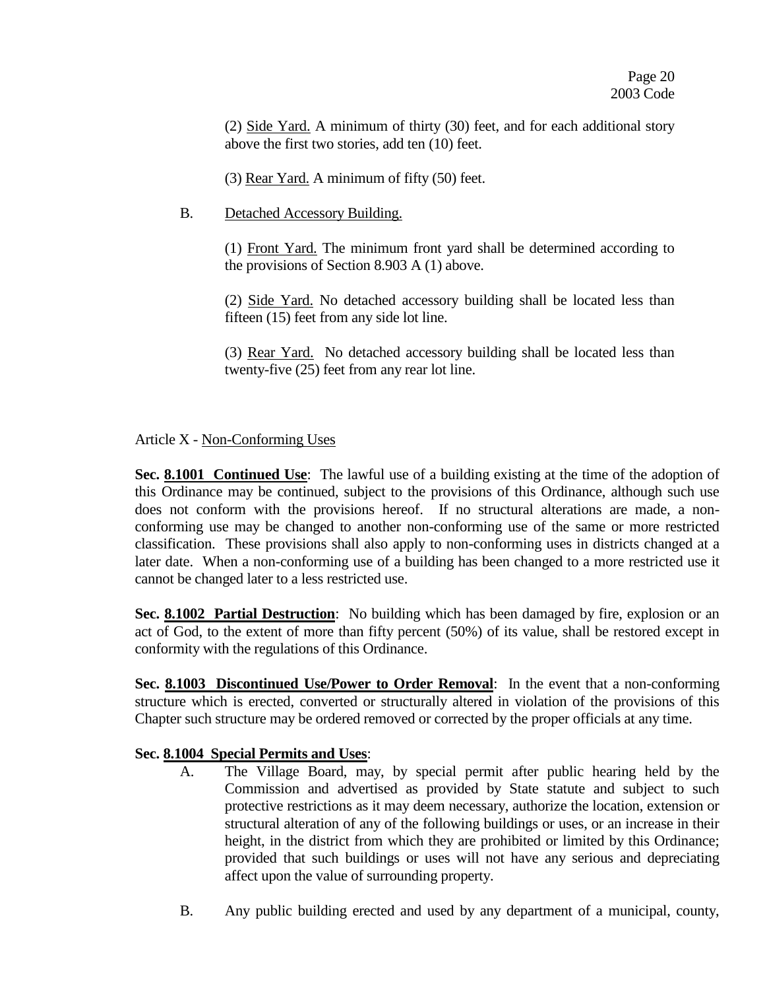(2) Side Yard. A minimum of thirty (30) feet, and for each additional story above the first two stories, add ten (10) feet.

- (3) Rear Yard. A minimum of fifty (50) feet.
- B. Detached Accessory Building.

(1) Front Yard. The minimum front yard shall be determined according to the provisions of Section 8.903 A (1) above.

(2) Side Yard. No detached accessory building shall be located less than fifteen (15) feet from any side lot line.

(3) Rear Yard. No detached accessory building shall be located less than twenty-five (25) feet from any rear lot line.

# Article X - Non-Conforming Uses

**Sec. 8.1001 Continued Use**: The lawful use of a building existing at the time of the adoption of this Ordinance may be continued, subject to the provisions of this Ordinance, although such use does not conform with the provisions hereof. If no structural alterations are made, a nonconforming use may be changed to another non-conforming use of the same or more restricted classification. These provisions shall also apply to non-conforming uses in districts changed at a later date. When a non-conforming use of a building has been changed to a more restricted use it cannot be changed later to a less restricted use.

**Sec. 8.1002 Partial Destruction**: No building which has been damaged by fire, explosion or an act of God, to the extent of more than fifty percent (50%) of its value, shall be restored except in conformity with the regulations of this Ordinance.

**Sec. 8.1003 Discontinued Use/Power to Order Removal**: In the event that a non-conforming structure which is erected, converted or structurally altered in violation of the provisions of this Chapter such structure may be ordered removed or corrected by the proper officials at any time.

## **Sec. 8.1004 Special Permits and Uses**:

- A. The Village Board, may, by special permit after public hearing held by the Commission and advertised as provided by State statute and subject to such protective restrictions as it may deem necessary, authorize the location, extension or structural alteration of any of the following buildings or uses, or an increase in their height, in the district from which they are prohibited or limited by this Ordinance; provided that such buildings or uses will not have any serious and depreciating affect upon the value of surrounding property.
- B. Any public building erected and used by any department of a municipal, county,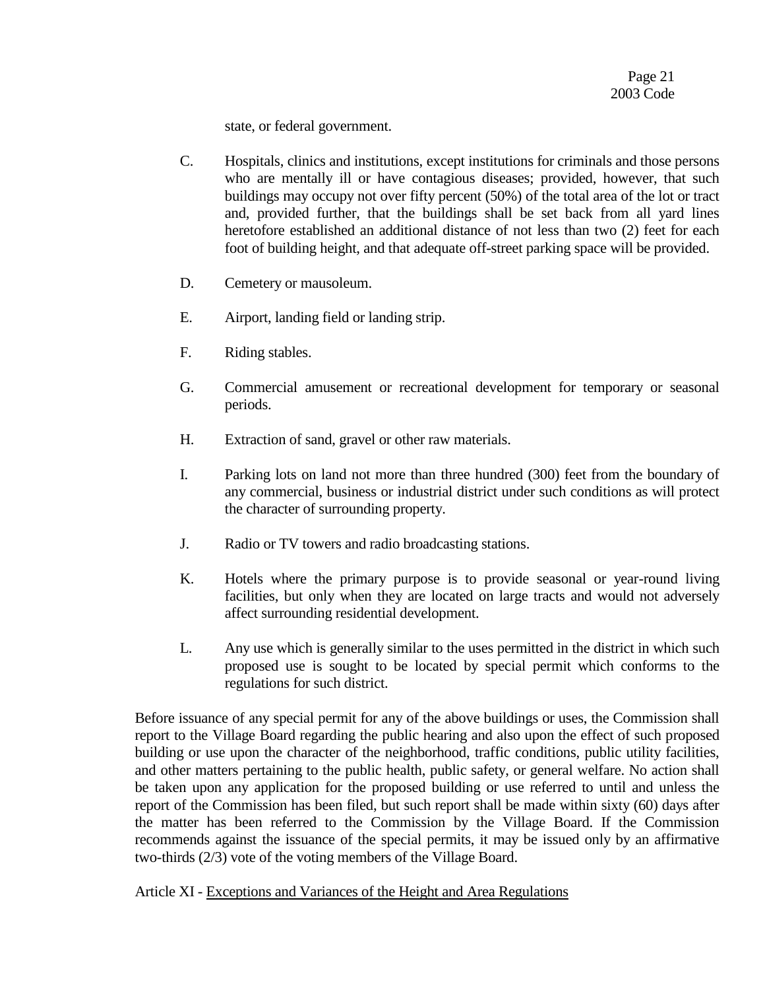state, or federal government.

- C. Hospitals, clinics and institutions, except institutions for criminals and those persons who are mentally ill or have contagious diseases; provided, however, that such buildings may occupy not over fifty percent (50%) of the total area of the lot or tract and, provided further, that the buildings shall be set back from all yard lines heretofore established an additional distance of not less than two (2) feet for each foot of building height, and that adequate off-street parking space will be provided.
- D. Cemetery or mausoleum.
- E. Airport, landing field or landing strip.
- F. Riding stables.
- G. Commercial amusement or recreational development for temporary or seasonal periods.
- H. Extraction of sand, gravel or other raw materials.
- I. Parking lots on land not more than three hundred (300) feet from the boundary of any commercial, business or industrial district under such conditions as will protect the character of surrounding property.
- J. Radio or TV towers and radio broadcasting stations.
- K. Hotels where the primary purpose is to provide seasonal or year-round living facilities, but only when they are located on large tracts and would not adversely affect surrounding residential development.
- L. Any use which is generally similar to the uses permitted in the district in which such proposed use is sought to be located by special permit which conforms to the regulations for such district.

Before issuance of any special permit for any of the above buildings or uses, the Commission shall report to the Village Board regarding the public hearing and also upon the effect of such proposed building or use upon the character of the neighborhood, traffic conditions, public utility facilities, and other matters pertaining to the public health, public safety, or general welfare. No action shall be taken upon any application for the proposed building or use referred to until and unless the report of the Commission has been filed, but such report shall be made within sixty (60) days after the matter has been referred to the Commission by the Village Board. If the Commission recommends against the issuance of the special permits, it may be issued only by an affirmative two-thirds (2/3) vote of the voting members of the Village Board.

Article XI - Exceptions and Variances of the Height and Area Regulations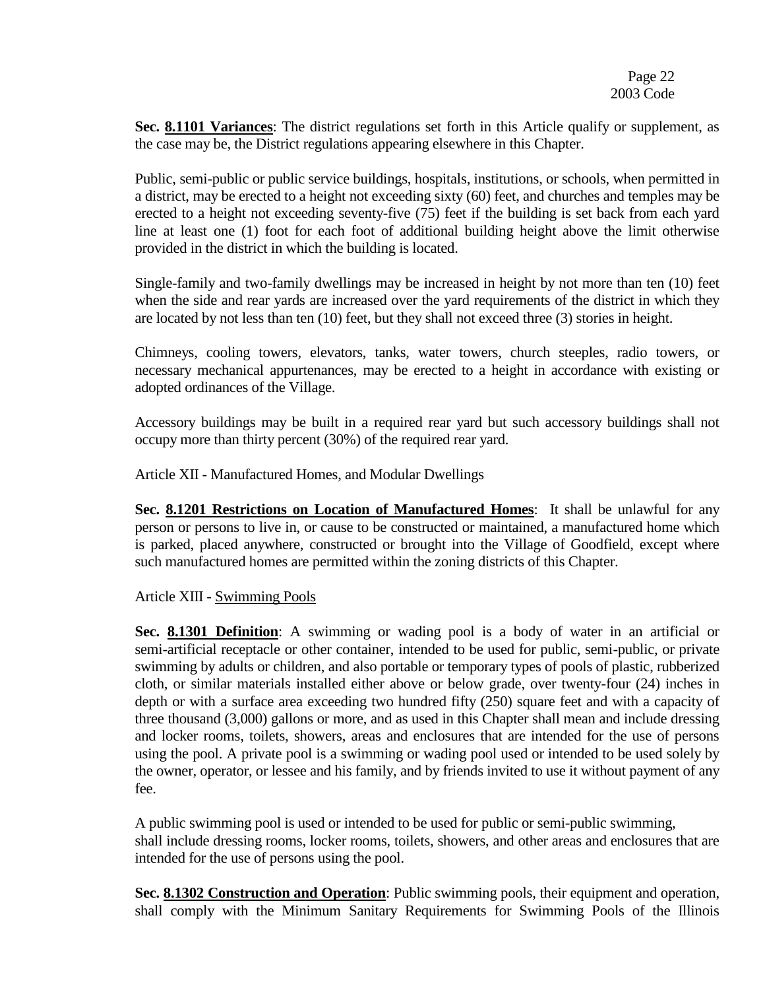**Sec. 8.1101 Variances**: The district regulations set forth in this Article qualify or supplement, as the case may be, the District regulations appearing elsewhere in this Chapter.

Public, semi-public or public service buildings, hospitals, institutions, or schools, when permitted in a district, may be erected to a height not exceeding sixty (60) feet, and churches and temples may be erected to a height not exceeding seventy-five (75) feet if the building is set back from each yard line at least one (1) foot for each foot of additional building height above the limit otherwise provided in the district in which the building is located.

Single-family and two-family dwellings may be increased in height by not more than ten (10) feet when the side and rear yards are increased over the yard requirements of the district in which they are located by not less than ten (10) feet, but they shall not exceed three (3) stories in height.

Chimneys, cooling towers, elevators, tanks, water towers, church steeples, radio towers, or necessary mechanical appurtenances, may be erected to a height in accordance with existing or adopted ordinances of the Village.

Accessory buildings may be built in a required rear yard but such accessory buildings shall not occupy more than thirty percent (30%) of the required rear yard.

Article XII - Manufactured Homes, and Modular Dwellings

**Sec. 8.1201 Restrictions on Location of Manufactured Homes**: It shall be unlawful for any person or persons to live in, or cause to be constructed or maintained, a manufactured home which is parked, placed anywhere, constructed or brought into the Village of Goodfield, except where such manufactured homes are permitted within the zoning districts of this Chapter.

Article XIII - Swimming Pools

**Sec. 8.1301 Definition**: A swimming or wading pool is a body of water in an artificial or semi-artificial receptacle or other container, intended to be used for public, semi-public, or private swimming by adults or children, and also portable or temporary types of pools of plastic, rubberized cloth, or similar materials installed either above or below grade, over twenty-four (24) inches in depth or with a surface area exceeding two hundred fifty (250) square feet and with a capacity of three thousand (3,000) gallons or more, and as used in this Chapter shall mean and include dressing and locker rooms, toilets, showers, areas and enclosures that are intended for the use of persons using the pool. A private pool is a swimming or wading pool used or intended to be used solely by the owner, operator, or lessee and his family, and by friends invited to use it without payment of any fee.

A public swimming pool is used or intended to be used for public or semi-public swimming, shall include dressing rooms, locker rooms, toilets, showers, and other areas and enclosures that are intended for the use of persons using the pool.

**Sec. 8.1302 Construction and Operation**: Public swimming pools, their equipment and operation, shall comply with the Minimum Sanitary Requirements for Swimming Pools of the Illinois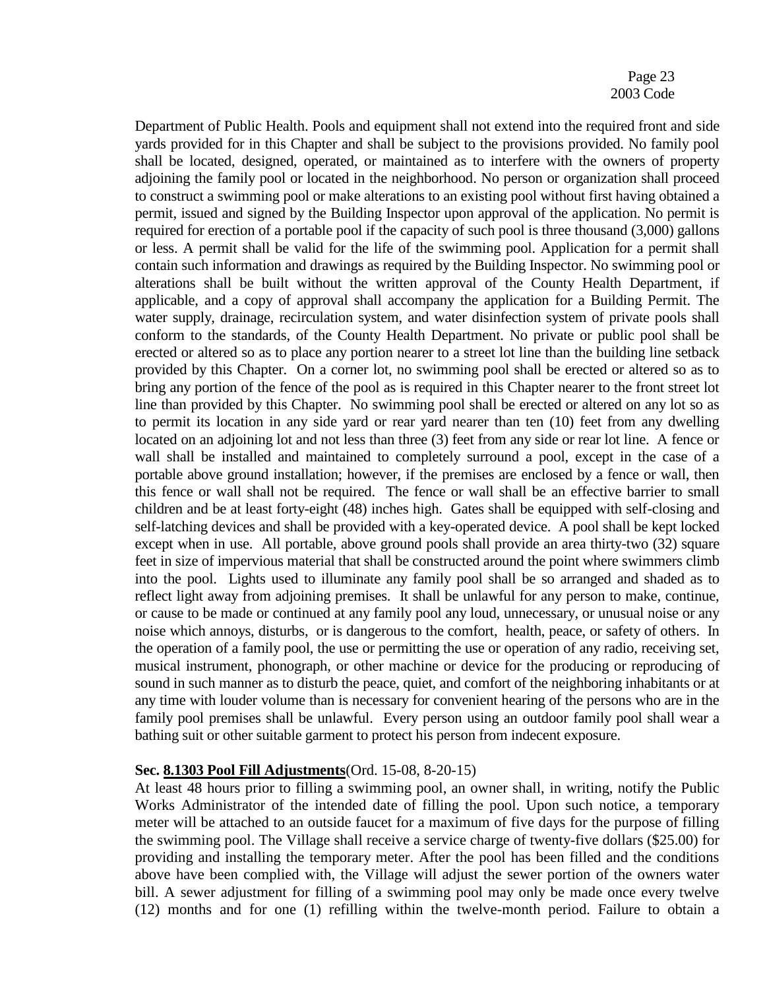Department of Public Health. Pools and equipment shall not extend into the required front and side yards provided for in this Chapter and shall be subject to the provisions provided. No family pool shall be located, designed, operated, or maintained as to interfere with the owners of property adjoining the family pool or located in the neighborhood. No person or organization shall proceed to construct a swimming pool or make alterations to an existing pool without first having obtained a permit, issued and signed by the Building Inspector upon approval of the application. No permit is required for erection of a portable pool if the capacity of such pool is three thousand (3,000) gallons or less. A permit shall be valid for the life of the swimming pool. Application for a permit shall contain such information and drawings as required by the Building Inspector. No swimming pool or alterations shall be built without the written approval of the County Health Department, if applicable, and a copy of approval shall accompany the application for a Building Permit. The water supply, drainage, recirculation system, and water disinfection system of private pools shall conform to the standards, of the County Health Department. No private or public pool shall be erected or altered so as to place any portion nearer to a street lot line than the building line setback provided by this Chapter. On a corner lot, no swimming pool shall be erected or altered so as to bring any portion of the fence of the pool as is required in this Chapter nearer to the front street lot line than provided by this Chapter. No swimming pool shall be erected or altered on any lot so as to permit its location in any side yard or rear yard nearer than ten (10) feet from any dwelling located on an adjoining lot and not less than three (3) feet from any side or rear lot line. A fence or wall shall be installed and maintained to completely surround a pool, except in the case of a portable above ground installation; however, if the premises are enclosed by a fence or wall, then this fence or wall shall not be required. The fence or wall shall be an effective barrier to small children and be at least forty-eight (48) inches high. Gates shall be equipped with self-closing and self-latching devices and shall be provided with a key-operated device. A pool shall be kept locked except when in use. All portable, above ground pools shall provide an area thirty-two (32) square feet in size of impervious material that shall be constructed around the point where swimmers climb into the pool. Lights used to illuminate any family pool shall be so arranged and shaded as to reflect light away from adjoining premises. It shall be unlawful for any person to make, continue, or cause to be made or continued at any family pool any loud, unnecessary, or unusual noise or any noise which annoys, disturbs, or is dangerous to the comfort, health, peace, or safety of others. In the operation of a family pool, the use or permitting the use or operation of any radio, receiving set, musical instrument, phonograph, or other machine or device for the producing or reproducing of sound in such manner as to disturb the peace, quiet, and comfort of the neighboring inhabitants or at any time with louder volume than is necessary for convenient hearing of the persons who are in the family pool premises shall be unlawful. Every person using an outdoor family pool shall wear a bathing suit or other suitable garment to protect his person from indecent exposure.

## **Sec. 8.1303 Pool Fill Adjustments**(Ord. 15-08, 8-20-15)

At least 48 hours prior to filling a swimming pool, an owner shall, in writing, notify the Public Works Administrator of the intended date of filling the pool. Upon such notice, a temporary meter will be attached to an outside faucet for a maximum of five days for the purpose of filling the swimming pool. The Village shall receive a service charge of twenty-five dollars (\$25.00) for providing and installing the temporary meter. After the pool has been filled and the conditions above have been complied with, the Village will adjust the sewer portion of the owners water bill. A sewer adjustment for filling of a swimming pool may only be made once every twelve (12) months and for one (1) refilling within the twelve-month period. Failure to obtain a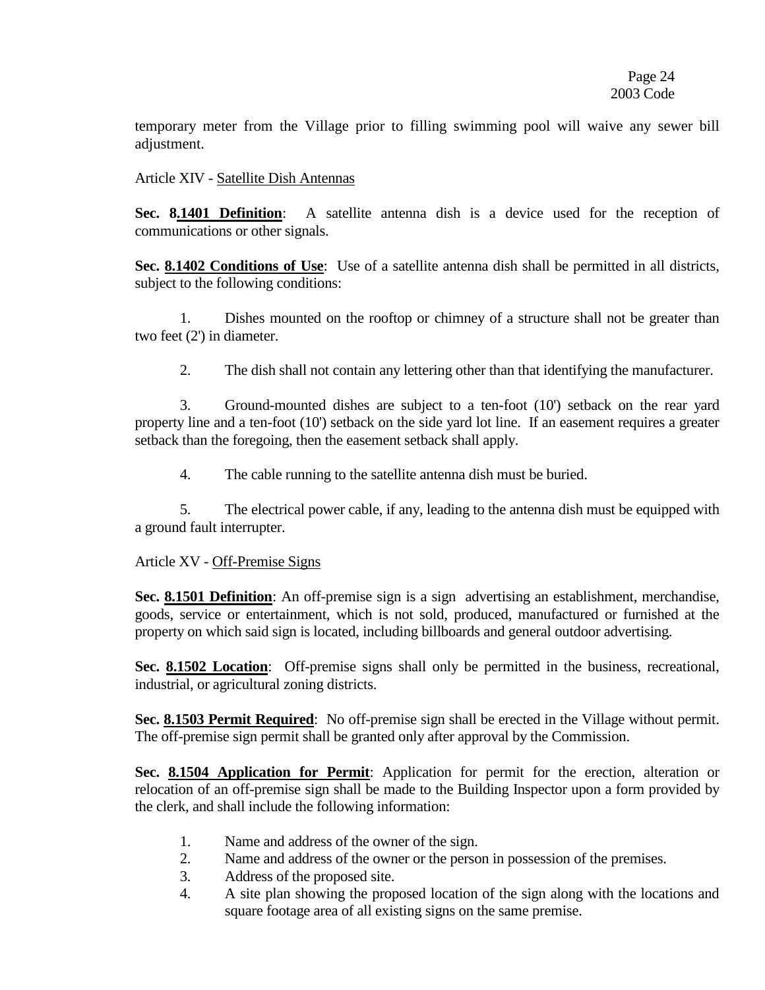temporary meter from the Village prior to filling swimming pool will waive any sewer bill adjustment.

Article XIV - Satellite Dish Antennas

**Sec. 8.1401 Definition**: A satellite antenna dish is a device used for the reception of communications or other signals.

**Sec. 8.1402 Conditions of Use**: Use of a satellite antenna dish shall be permitted in all districts, subject to the following conditions:

1. Dishes mounted on the rooftop or chimney of a structure shall not be greater than two feet (2') in diameter.

2. The dish shall not contain any lettering other than that identifying the manufacturer.

3. Ground-mounted dishes are subject to a ten-foot (10') setback on the rear yard property line and a ten-foot (10') setback on the side yard lot line. If an easement requires a greater setback than the foregoing, then the easement setback shall apply.

4. The cable running to the satellite antenna dish must be buried.

5. The electrical power cable, if any, leading to the antenna dish must be equipped with a ground fault interrupter.

## Article XV - Off-Premise Signs

**Sec. 8.1501 Definition**: An off-premise sign is a sign advertising an establishment, merchandise, goods, service or entertainment, which is not sold, produced, manufactured or furnished at the property on which said sign is located, including billboards and general outdoor advertising.

**Sec. 8.1502 Location**: Off-premise signs shall only be permitted in the business, recreational, industrial, or agricultural zoning districts.

**Sec. 8.1503 Permit Required:** No off-premise sign shall be erected in the Village without permit. The off-premise sign permit shall be granted only after approval by the Commission.

**Sec. 8.1504 Application for Permit**: Application for permit for the erection, alteration or relocation of an off-premise sign shall be made to the Building Inspector upon a form provided by the clerk, and shall include the following information:

- 1. Name and address of the owner of the sign.
- 2. Name and address of the owner or the person in possession of the premises.
- 3. Address of the proposed site.
- 4. A site plan showing the proposed location of the sign along with the locations and square footage area of all existing signs on the same premise.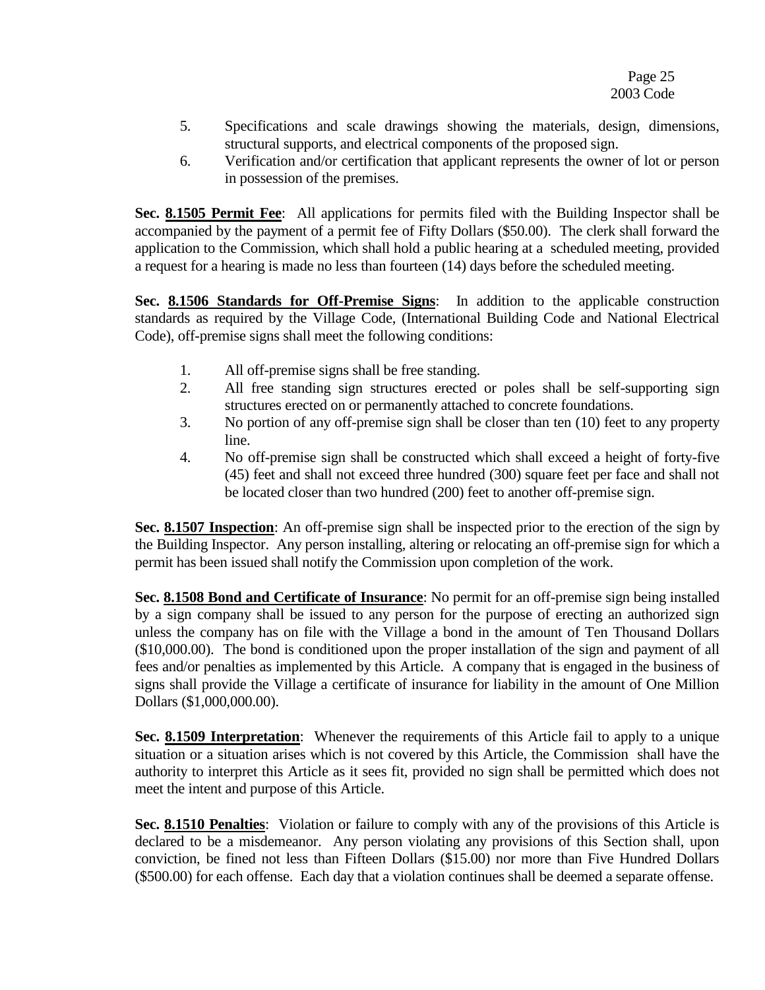- 5. Specifications and scale drawings showing the materials, design, dimensions, structural supports, and electrical components of the proposed sign.
- 6. Verification and/or certification that applicant represents the owner of lot or person in possession of the premises.

**Sec. 8.1505 Permit Fee**: All applications for permits filed with the Building Inspector shall be accompanied by the payment of a permit fee of Fifty Dollars (\$50.00). The clerk shall forward the application to the Commission, which shall hold a public hearing at a scheduled meeting, provided a request for a hearing is made no less than fourteen (14) days before the scheduled meeting.

**Sec. 8.1506 Standards for Off-Premise Signs**: In addition to the applicable construction standards as required by the Village Code, (International Building Code and National Electrical Code), off-premise signs shall meet the following conditions:

- 1. All off-premise signs shall be free standing.
- 2. All free standing sign structures erected or poles shall be self-supporting sign structures erected on or permanently attached to concrete foundations.
- 3. No portion of any off-premise sign shall be closer than ten (10) feet to any property line.
- 4. No off-premise sign shall be constructed which shall exceed a height of forty-five (45) feet and shall not exceed three hundred (300) square feet per face and shall not be located closer than two hundred (200) feet to another off-premise sign.

**Sec. 8.1507 Inspection**: An off-premise sign shall be inspected prior to the erection of the sign by the Building Inspector. Any person installing, altering or relocating an off-premise sign for which a permit has been issued shall notify the Commission upon completion of the work.

**Sec. 8.1508 Bond and Certificate of Insurance**: No permit for an off-premise sign being installed by a sign company shall be issued to any person for the purpose of erecting an authorized sign unless the company has on file with the Village a bond in the amount of Ten Thousand Dollars (\$10,000.00). The bond is conditioned upon the proper installation of the sign and payment of all fees and/or penalties as implemented by this Article. A company that is engaged in the business of signs shall provide the Village a certificate of insurance for liability in the amount of One Million Dollars (\$1,000,000.00).

**Sec. 8.1509 Interpretation**: Whenever the requirements of this Article fail to apply to a unique situation or a situation arises which is not covered by this Article, the Commission shall have the authority to interpret this Article as it sees fit, provided no sign shall be permitted which does not meet the intent and purpose of this Article.

**Sec. 8.1510 Penalties**: Violation or failure to comply with any of the provisions of this Article is declared to be a misdemeanor. Any person violating any provisions of this Section shall, upon conviction, be fined not less than Fifteen Dollars (\$15.00) nor more than Five Hundred Dollars (\$500.00) for each offense. Each day that a violation continues shall be deemed a separate offense.